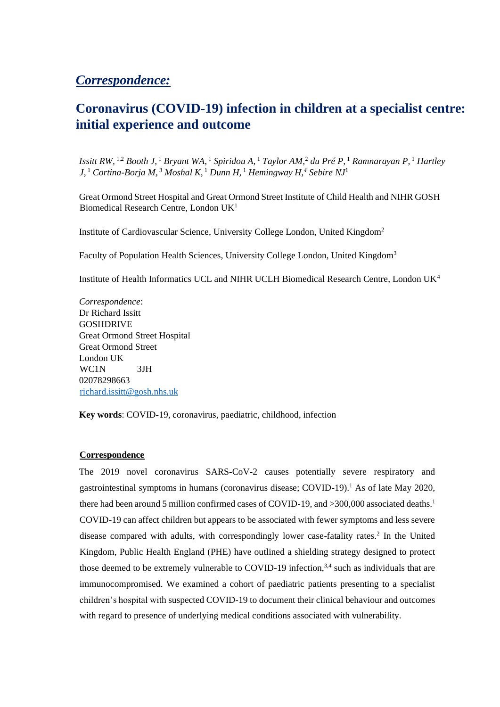## *Correspondence:*

# **Coronavirus (COVID-19) infection in children at a specialist centre: initial experience and outcome**

*Issitt RW,* 1,2 *Booth J,* <sup>1</sup> *Bryant WA,* <sup>1</sup> *Spiridou A,* <sup>1</sup> *Taylor AM,*<sup>2</sup> *du Pré P,* <sup>1</sup> *Ramnarayan P,* <sup>1</sup> *Hartley J,* <sup>1</sup> *Cortina-Borja M,* <sup>3</sup> *Moshal K,* <sup>1</sup> *Dunn H,* <sup>1</sup> *Hemingway H,<sup>4</sup> Sebire NJ*<sup>1</sup>

Great Ormond Street Hospital and Great Ormond Street Institute of Child Health and NIHR GOSH Biomedical Research Centre, London UK<sup>1</sup>

Institute of Cardiovascular Science, University College London, United Kingdom<sup>2</sup>

Faculty of Population Health Sciences, University College London, United Kingdom<sup>3</sup>

Institute of Health Informatics UCL and NIHR UCLH Biomedical Research Centre, London UK<sup>4</sup>

*Correspondence*: Dr Richard Issitt GOSHDRIVE Great Ormond Street Hospital Great Ormond Street London UK WC1N 3JH 02078298663 richard.issitt@gosh.nhs.uk

**Key words**: COVID-19, coronavirus, paediatric, childhood, infection

### **Correspondence**

The 2019 novel coronavirus SARS-CoV-2 causes potentially severe respiratory and gastrointestinal symptoms in humans (coronavirus disease; COVID-19).<sup>1</sup> As of late May 2020, there had been around 5 million confirmed cases of COVID-19, and >300,000 associated deaths.<sup>1</sup> COVID-19 can affect children but appears to be associated with fewer symptoms and less severe disease compared with adults, with correspondingly lower case-fatality rates.<sup>2</sup> In the United Kingdom, Public Health England (PHE) have outlined a shielding strategy designed to protect those deemed to be extremely vulnerable to COVID-19 infection,  $3,4$  such as individuals that are immunocompromised. We examined a cohort of paediatric patients presenting to a specialist children's hospital with suspected COVID-19 to document their clinical behaviour and outcomes with regard to presence of underlying medical conditions associated with vulnerability.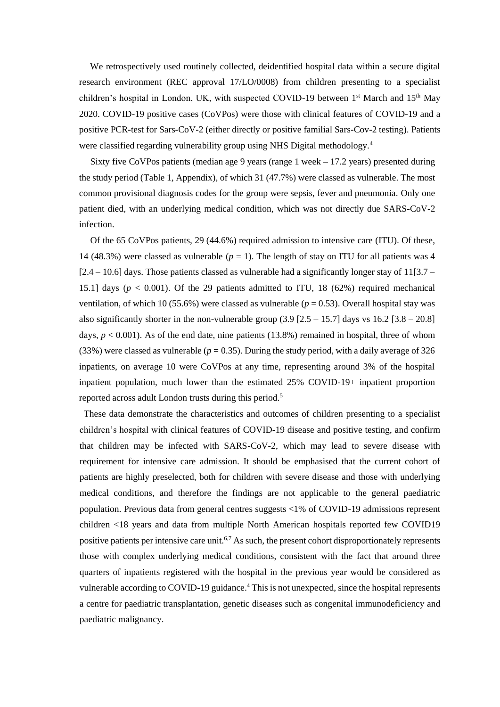We retrospectively used routinely collected, deidentified hospital data within a secure digital research environment (REC approval 17/LO/0008) from children presenting to a specialist children's hospital in London, UK, with suspected COVID-19 between  $1<sup>st</sup>$  March and  $15<sup>th</sup>$  May 2020. COVID-19 positive cases (CoVPos) were those with clinical features of COVID-19 and a positive PCR-test for Sars-CoV-2 (either directly or positive familial Sars-Cov-2 testing). Patients were classified regarding vulnerability group using NHS Digital methodology.<sup>4</sup>

Sixty five CoVPos patients (median age 9 years (range 1 week – 17.2 years) presented during the study period (Table 1, Appendix), of which 31 (47.7%) were classed as vulnerable. The most common provisional diagnosis codes for the group were sepsis, fever and pneumonia. Only one patient died, with an underlying medical condition, which was not directly due SARS-CoV-2 infection.

Of the 65 CoVPos patients, 29 (44.6%) required admission to intensive care (ITU). Of these, 14 (48.3%) were classed as vulnerable  $(p = 1)$ . The length of stay on ITU for all patients was 4  $[2.4 - 10.6]$  days. Those patients classed as vulnerable had a significantly longer stay of 11 $[3.7 -$ 15.1] days ( $p < 0.001$ ). Of the 29 patients admitted to ITU, 18 (62%) required mechanical ventilation, of which 10 (55.6%) were classed as vulnerable ( $p = 0.53$ ). Overall hospital stay was also significantly shorter in the non-vulnerable group  $(3.9 [2.5 - 15.7]$  days vs  $16.2 [3.8 - 20.8]$ days,  $p < 0.001$ ). As of the end date, nine patients (13.8%) remained in hospital, three of whom  $(33%)$  were classed as vulnerable ( $p = 0.35$ ). During the study period, with a daily average of 326 inpatients, on average 10 were CoVPos at any time, representing around 3% of the hospital inpatient population, much lower than the estimated 25% COVID-19+ inpatient proportion reported across adult London trusts during this period.<sup>5</sup>

 These data demonstrate the characteristics and outcomes of children presenting to a specialist children's hospital with clinical features of COVID-19 disease and positive testing, and confirm that children may be infected with SARS-CoV-2, which may lead to severe disease with requirement for intensive care admission. It should be emphasised that the current cohort of patients are highly preselected, both for children with severe disease and those with underlying medical conditions, and therefore the findings are not applicable to the general paediatric population. Previous data from general centres suggests <1% of COVID-19 admissions represent children <18 years and data from multiple North American hospitals reported few COVID19 positive patients per intensive care unit.<sup>6,7</sup> As such, the present cohort disproportionately represents those with complex underlying medical conditions, consistent with the fact that around three quarters of inpatients registered with the hospital in the previous year would be considered as vulnerable according to COVID-19 guidance.<sup>4</sup> This is not unexpected, since the hospital represents a centre for paediatric transplantation, genetic diseases such as congenital immunodeficiency and paediatric malignancy.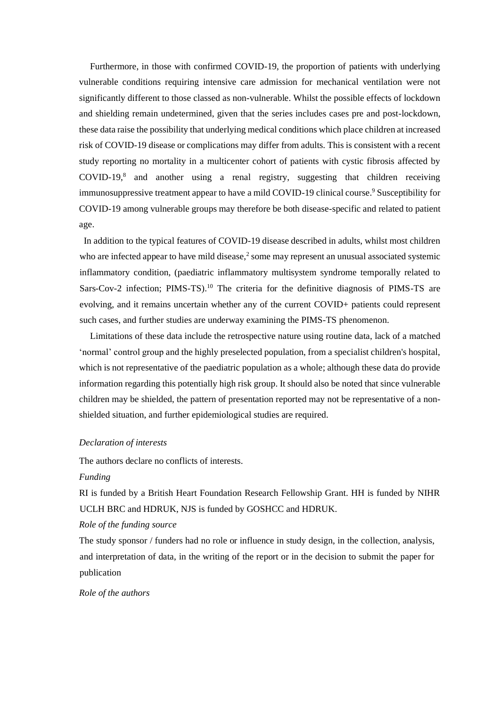Furthermore, in those with confirmed COVID-19, the proportion of patients with underlying vulnerable conditions requiring intensive care admission for mechanical ventilation were not significantly different to those classed as non-vulnerable. Whilst the possible effects of lockdown and shielding remain undetermined, given that the series includes cases pre and post-lockdown, these data raise the possibility that underlying medical conditions which place children at increased risk of COVID-19 disease or complications may differ from adults. This is consistent with a recent study reporting no mortality in a multicenter cohort of patients with cystic fibrosis affected by  $COVID-19$ ,<sup>8</sup> and another using a renal registry, suggesting that children receiving immunosuppressive treatment appear to have a mild COVID-19 clinical course.<sup>9</sup> Susceptibility for COVID-19 among vulnerable groups may therefore be both disease-specific and related to patient age.

 In addition to the typical features of COVID-19 disease described in adults, whilst most children who are infected appear to have mild disease, $<sup>2</sup>$  some may represent an unusual associated systemic</sup> inflammatory condition, (paediatric inflammatory multisystem syndrome temporally related to Sars-Cov-2 infection; PIMS-TS).<sup>10</sup> The criteria for the definitive diagnosis of PIMS-TS are evolving, and it remains uncertain whether any of the current COVID+ patients could represent such cases, and further studies are underway examining the PIMS-TS phenomenon.

Limitations of these data include the retrospective nature using routine data, lack of a matched 'normal' control group and the highly preselected population, from a specialist children's hospital, which is not representative of the paediatric population as a whole; although these data do provide information regarding this potentially high risk group. It should also be noted that since vulnerable children may be shielded, the pattern of presentation reported may not be representative of a nonshielded situation, and further epidemiological studies are required.

#### *Declaration of interests*

The authors declare no conflicts of interests.

#### *Funding*

RI is funded by a British Heart Foundation Research Fellowship Grant. HH is funded by NIHR UCLH BRC and HDRUK, NJS is funded by GOSHCC and HDRUK.

#### *Role of the funding source*

The study sponsor / funders had no role or influence in study design, in the collection, analysis, and interpretation of data, in the writing of the report or in the decision to submit the paper for publication

#### *Role of the authors*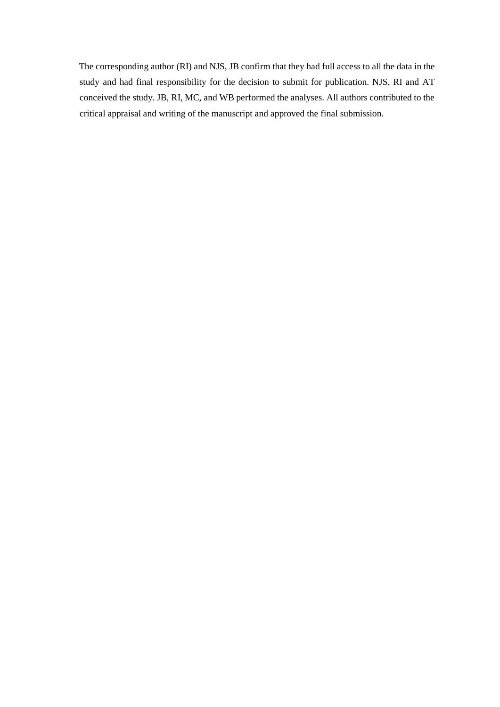The corresponding author (RI) and NJS, JB confirm that they had full access to all the data in the study and had final responsibility for the decision to submit for publication. NJS, RI and AT conceived the study. JB, RI, MC, and WB performed the analyses. All authors contributed to the critical appraisal and writing of the manuscript and approved the final submission.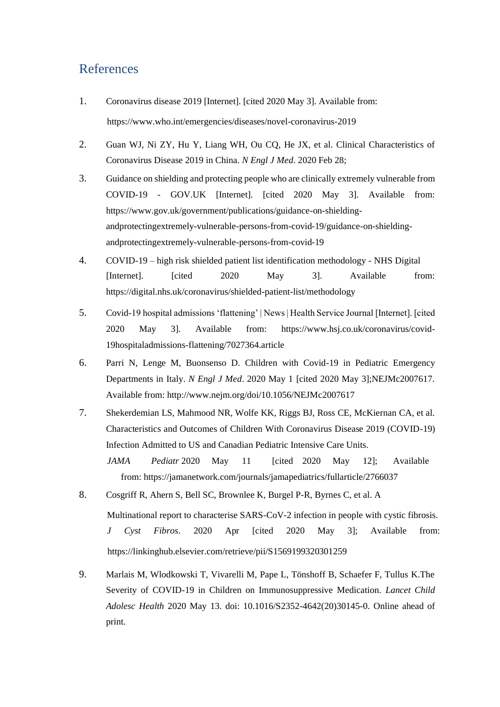## References

- 1. Coronavirus disease 2019 [Internet]. [cited 2020 May 3]. Available from: https://www.who.int/emergencies/diseases/novel-coronavirus-2019
- 2. Guan WJ, Ni ZY, Hu Y, Liang WH, Ou CQ, He JX, et al. Clinical Characteristics of Coronavirus Disease 2019 in China. *N Engl J Med*. 2020 Feb 28;
- 3. Guidance on shielding and protecting people who are clinically extremely vulnerable from COVID-19 - GOV.UK [Internet]. [cited 2020 May 3]. Available from: https://www.gov.uk/government/publications/guidance-on-shieldingandprotectingextremely-vulnerable-persons-from-covid-19/guidance-on-shieldingandprotectingextremely-vulnerable-persons-from-covid-19
- 4. COVID-19 high risk shielded patient list identification methodology NHS Digital [Internet]. [cited 2020 May 3]. Available from: https://digital.nhs.uk/coronavirus/shielded-patient-list/methodology
- 5. Covid-19 hospital admissions 'flattening' | News | Health Service Journal [Internet]. [cited 2020 May 3]. Available from: https://www.hsj.co.uk/coronavirus/covid-19hospitaladmissions-flattening/7027364.article
- 6. Parri N, Lenge M, Buonsenso D. Children with Covid-19 in Pediatric Emergency Departments in Italy. *N Engl J Med*. 2020 May 1 [cited 2020 May 3];NEJMc2007617. Available from: http://www.nejm.org/doi/10.1056/NEJMc2007617
- 7. Shekerdemian LS, Mahmood NR, Wolfe KK, Riggs BJ, Ross CE, McKiernan CA, et al. Characteristics and Outcomes of Children With Coronavirus Disease 2019 (COVID-19) Infection Admitted to US and Canadian Pediatric Intensive Care Units.
	- *JAMA Pediatr* 2020 May 11 [cited 2020 May 12]; Available from: https://jamanetwork.com/journals/jamapediatrics/fullarticle/2766037
- 8. Cosgriff R, Ahern S, Bell SC, Brownlee K, Burgel P-R, Byrnes C, et al. A Multinational report to characterise SARS-CoV-2 infection in people with cystic fibrosis. *J Cyst Fibros*. 2020 Apr [cited 2020 May 3]; Available from: https://linkinghub.elsevier.com/retrieve/pii/S1569199320301259
- 9. Marlais M, Wlodkowski T, Vivarelli M, Pape L, Tönshoff B, Schaefer F, Tullus K.The Severity of COVID-19 in Children on Immunosuppressive Medication. *Lancet Child Adolesc Health* 2020 May 13. doi: 10.1016/S2352-4642(20)30145-0. Online ahead of print.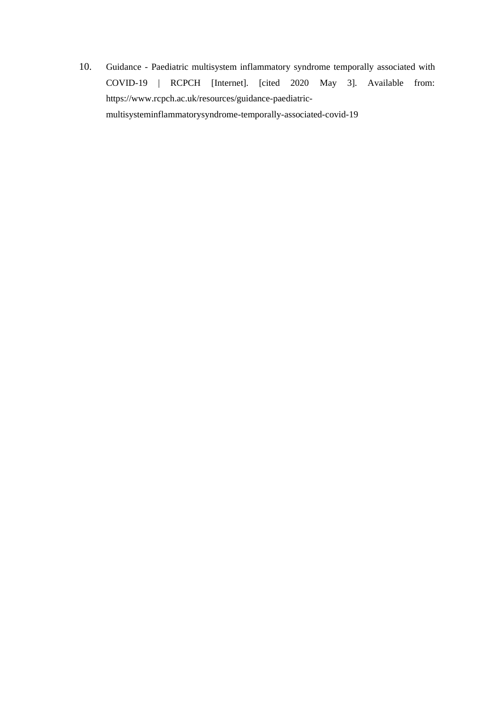10. Guidance - Paediatric multisystem inflammatory syndrome temporally associated with COVID-19 | RCPCH [Internet]. [cited 2020 May 3]. Available from: https://www.rcpch.ac.uk/resources/guidance-paediatricmultisysteminflammatorysyndrome-temporally-associated-covid-19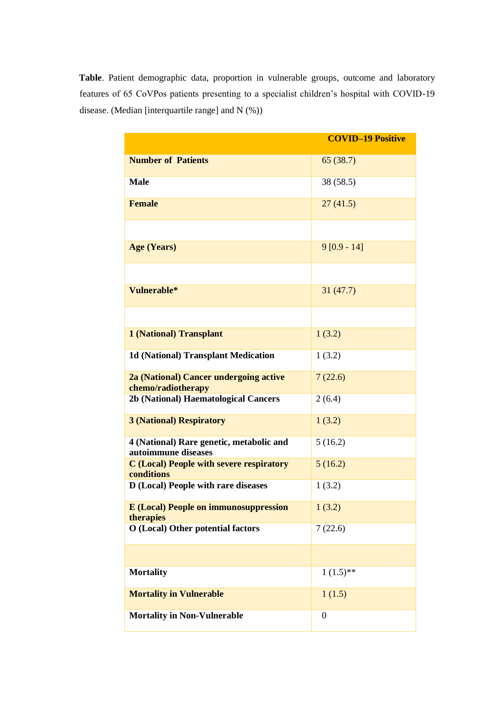**Table**. Patient demographic data, proportion in vulnerable groups, outcome and laboratory features of 65 CoVPos patients presenting to a specialist children's hospital with COVID-19 disease. (Median [interquartile range] and N (%))

| <b>Number of Patients</b><br>65(38.7)<br><b>Male</b><br>38 (58.5)<br><b>Female</b><br>27(41.5)<br>$9[0.9 - 14]$<br><b>Age (Years)</b><br>Vulnerable*<br>31(47.7)<br>1(3.2)<br><b>1 (National) Transplant</b><br><b>1d (National) Transplant Medication</b><br>1(3.2)<br>2a (National) Cancer undergoing active<br>7(22.6)<br>chemo/radiotherapy<br>2b (National) Haematological Cancers<br>2(6.4)<br><b>3 (National) Respiratory</b><br>1(3.2)<br>4 (National) Rare genetic, metabolic and<br>5(16.2)<br>autoimmune diseases<br><b>C</b> (Local) People with severe respiratory<br>5(16.2)<br>conditions<br>D (Local) People with rare diseases<br>1(3.2)<br><b>E</b> (Local) People on immunosuppression<br>1(3.2)<br>therapies<br><b>O</b> (Local) Other potential factors<br>7(22.6)<br>$1(1.5)$ **<br><b>Mortality</b><br><b>Mortality in Vulnerable</b><br>1(1.5) |                                                        |  |
|------------------------------------------------------------------------------------------------------------------------------------------------------------------------------------------------------------------------------------------------------------------------------------------------------------------------------------------------------------------------------------------------------------------------------------------------------------------------------------------------------------------------------------------------------------------------------------------------------------------------------------------------------------------------------------------------------------------------------------------------------------------------------------------------------------------------------------------------------------------------|--------------------------------------------------------|--|
|                                                                                                                                                                                                                                                                                                                                                                                                                                                                                                                                                                                                                                                                                                                                                                                                                                                                        |                                                        |  |
|                                                                                                                                                                                                                                                                                                                                                                                                                                                                                                                                                                                                                                                                                                                                                                                                                                                                        |                                                        |  |
|                                                                                                                                                                                                                                                                                                                                                                                                                                                                                                                                                                                                                                                                                                                                                                                                                                                                        |                                                        |  |
|                                                                                                                                                                                                                                                                                                                                                                                                                                                                                                                                                                                                                                                                                                                                                                                                                                                                        |                                                        |  |
|                                                                                                                                                                                                                                                                                                                                                                                                                                                                                                                                                                                                                                                                                                                                                                                                                                                                        |                                                        |  |
|                                                                                                                                                                                                                                                                                                                                                                                                                                                                                                                                                                                                                                                                                                                                                                                                                                                                        |                                                        |  |
|                                                                                                                                                                                                                                                                                                                                                                                                                                                                                                                                                                                                                                                                                                                                                                                                                                                                        |                                                        |  |
|                                                                                                                                                                                                                                                                                                                                                                                                                                                                                                                                                                                                                                                                                                                                                                                                                                                                        |                                                        |  |
|                                                                                                                                                                                                                                                                                                                                                                                                                                                                                                                                                                                                                                                                                                                                                                                                                                                                        |                                                        |  |
|                                                                                                                                                                                                                                                                                                                                                                                                                                                                                                                                                                                                                                                                                                                                                                                                                                                                        |                                                        |  |
|                                                                                                                                                                                                                                                                                                                                                                                                                                                                                                                                                                                                                                                                                                                                                                                                                                                                        |                                                        |  |
|                                                                                                                                                                                                                                                                                                                                                                                                                                                                                                                                                                                                                                                                                                                                                                                                                                                                        |                                                        |  |
|                                                                                                                                                                                                                                                                                                                                                                                                                                                                                                                                                                                                                                                                                                                                                                                                                                                                        |                                                        |  |
|                                                                                                                                                                                                                                                                                                                                                                                                                                                                                                                                                                                                                                                                                                                                                                                                                                                                        |                                                        |  |
|                                                                                                                                                                                                                                                                                                                                                                                                                                                                                                                                                                                                                                                                                                                                                                                                                                                                        |                                                        |  |
|                                                                                                                                                                                                                                                                                                                                                                                                                                                                                                                                                                                                                                                                                                                                                                                                                                                                        |                                                        |  |
|                                                                                                                                                                                                                                                                                                                                                                                                                                                                                                                                                                                                                                                                                                                                                                                                                                                                        |                                                        |  |
|                                                                                                                                                                                                                                                                                                                                                                                                                                                                                                                                                                                                                                                                                                                                                                                                                                                                        |                                                        |  |
|                                                                                                                                                                                                                                                                                                                                                                                                                                                                                                                                                                                                                                                                                                                                                                                                                                                                        |                                                        |  |
|                                                                                                                                                                                                                                                                                                                                                                                                                                                                                                                                                                                                                                                                                                                                                                                                                                                                        |                                                        |  |
|                                                                                                                                                                                                                                                                                                                                                                                                                                                                                                                                                                                                                                                                                                                                                                                                                                                                        |                                                        |  |
|                                                                                                                                                                                                                                                                                                                                                                                                                                                                                                                                                                                                                                                                                                                                                                                                                                                                        | <b>Mortality in Non-Vulnerable</b><br>$\boldsymbol{0}$ |  |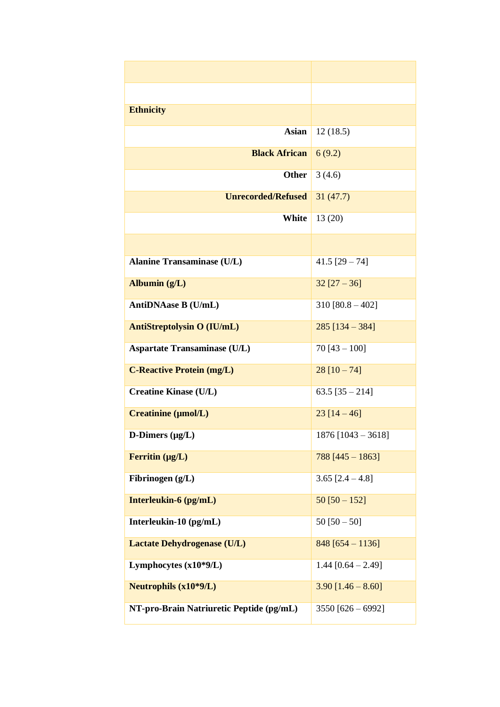| <b>Ethnicity</b>                         |                      |
|------------------------------------------|----------------------|
| <b>Asian</b>                             | 12(18.5)             |
| <b>Black African</b>                     | 6(9.2)               |
| <b>Other</b>                             | 3(4.6)               |
| <b>Unrecorded/Refused</b>                | 31(47.7)             |
| White                                    | 13(20)               |
|                                          |                      |
| <b>Alanine Transaminase (U/L)</b>        | 41.5 $[29 - 74]$     |
| Albumin $(g/L)$                          | $32$ [27 – 36]       |
| AntiDNAase B (U/mL)                      | $310 [80.8 - 402]$   |
| <b>AntiStreptolysin O (IU/mL)</b>        | $285$ [134 - 384]    |
| <b>Aspartate Transaminase (U/L)</b>      | $70$ [43 - 100]      |
| <b>C-Reactive Protein (mg/L)</b>         | $28$ [10 - 74]       |
| <b>Creatine Kinase (U/L)</b>             | 63.5 $[35 - 214]$    |
| Creatinine (µmol/L)                      | $23$ [14 - 46]       |
| D-Dimers $(\mu g/L)$                     | 1876 $[1043 - 3618]$ |
| Ferritin $(\mu g/L)$                     | $788$ [445 - 1863]   |
| Fibrinogen $(g/L)$                       | 3.65 $[2.4 - 4.8]$   |
| Interleukin-6 (pg/mL)                    | $50$ [50 $-$ 152]    |
| Interleukin-10 (pg/mL)                   | $50$ [ $50 - 50$ ]   |
| <b>Lactate Dehydrogenase (U/L)</b>       | $848$ [654 - 1136]   |
| Lymphocytes $(x10*9/L)$                  | 1.44 $[0.64 - 2.49]$ |
| <b>Neutrophils (x10*9/L)</b>             | $3.90$ [1.46 - 8.60] |
| NT-pro-Brain Natriuretic Peptide (pg/mL) | 3550 [626 - 6992]    |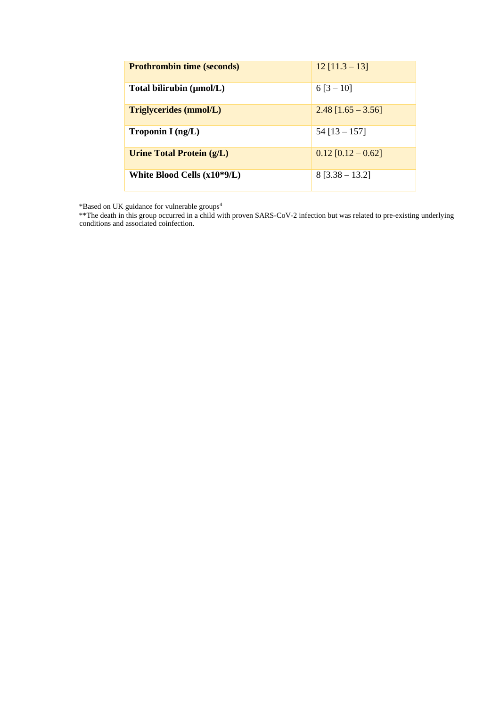| <b>Prothrombin time (seconds)</b> | $12$ [11.3 – 13]     |
|-----------------------------------|----------------------|
| Total bilirubin (µmol/L)          | $6[3-10]$            |
| <b>Triglycerides (mmol/L)</b>     | $2.48$ [1.65 – 3.56] |
| Troponin I $(ng/L)$               | $54$ [13 - 157]      |
| Urine Total Protein (g/L)         | $0.12$ [0.12 – 0.62] |
| White Blood Cells $(x10*9/L)$     | $8$ [3.38 – 13.2]    |

\*Based on UK guidance for vulnerable groups<sup>4</sup>

\*\*The death in this group occurred in a child with proven SARS-CoV-2 infection but was related to pre-existing underlying conditions and associated coinfection.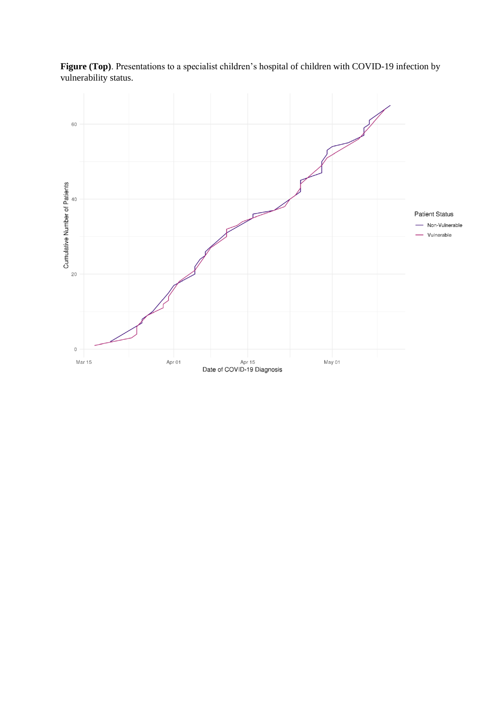